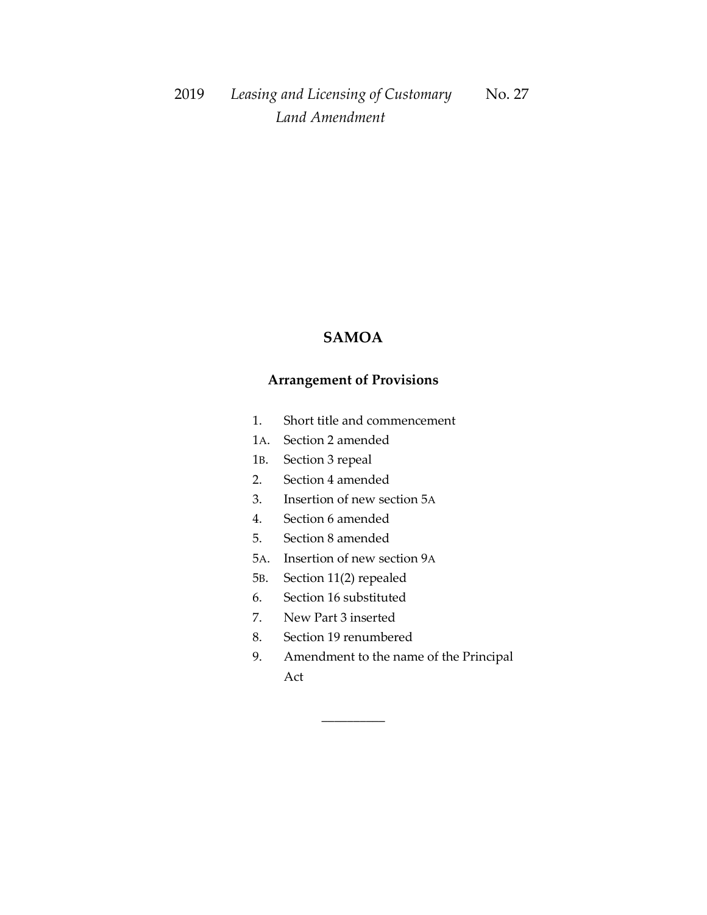## **SAMOA**

## **Arrangement of Provisions**

- 1. Short title and commencement
- 1A. Section 2 amended
- 1B. Section 3 repeal
- 2. Section 4 amended
- 3. Insertion of new section 5A
- 4. Section 6 amended
- 5. Section 8 amended
- 5A. Insertion of new section 9A
- 5B. Section 11(2) repealed
- 6. Section 16 substituted
- 7. New Part 3 inserted
- 8. Section 19 renumbered

\_\_\_\_\_\_\_\_\_\_

9. Amendment to the name of the Principal Act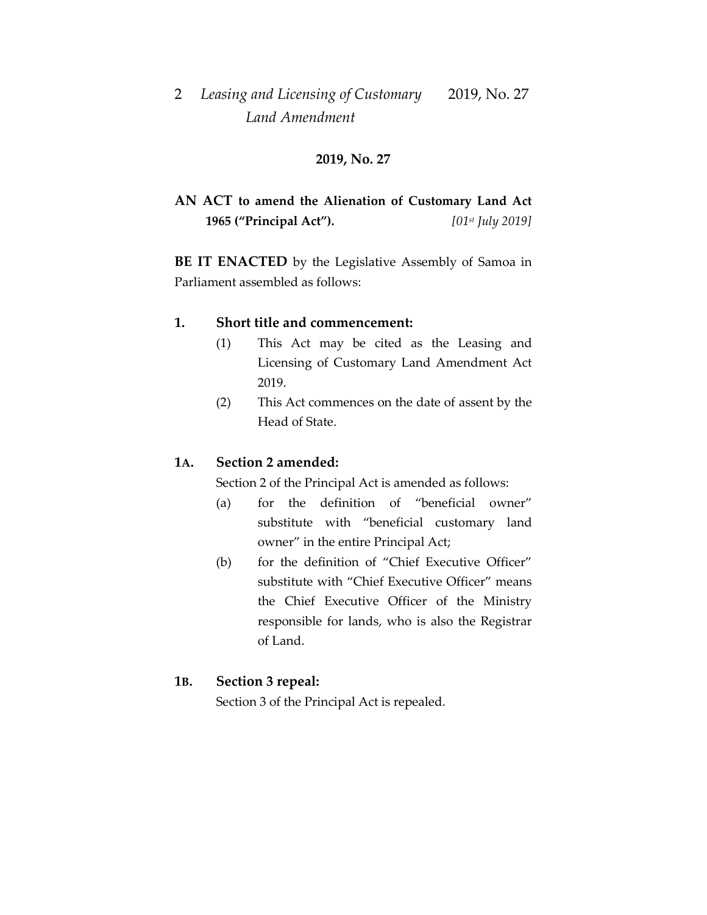### **2019, No. 27**

## **AN ACT to amend the Alienation of Customary Land Act 1965 ("Principal Act").** *[01st July 2019]*

**BE IT ENACTED** by the Legislative Assembly of Samoa in Parliament assembled as follows:

### **1. Short title and commencement:**

- (1) This Act may be cited as the Leasing and Licensing of Customary Land Amendment Act 2019.
- (2) This Act commences on the date of assent by the Head of State.

### **1A. Section 2 amended:**

Section 2 of the Principal Act is amended as follows:

- (a) for the definition of "beneficial owner" substitute with "beneficial customary land owner" in the entire Principal Act;
- (b) for the definition of "Chief Executive Officer" substitute with "Chief Executive Officer" means the Chief Executive Officer of the Ministry responsible for lands, who is also the Registrar of Land.

#### **1B. Section 3 repeal:**

Section 3 of the Principal Act is repealed.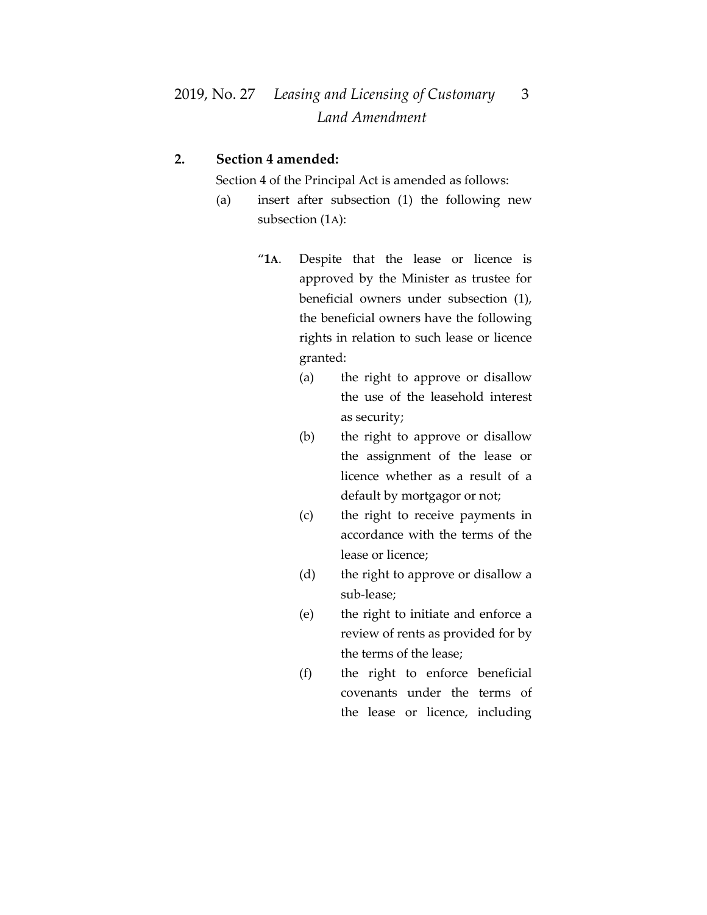### **2. Section 4 amended:**

Section 4 of the Principal Act is amended as follows:

- (a) insert after subsection (1) the following new subsection (1A):
	- "**1A**. Despite that the lease or licence is approved by the Minister as trustee for beneficial owners under subsection (1), the beneficial owners have the following rights in relation to such lease or licence granted:
		- (a) the right to approve or disallow the use of the leasehold interest as security;
		- (b) the right to approve or disallow the assignment of the lease or licence whether as a result of a default by mortgagor or not;
		- (c) the right to receive payments in accordance with the terms of the lease or licence;
		- (d) the right to approve or disallow a sub-lease;
		- (e) the right to initiate and enforce a review of rents as provided for by the terms of the lease;
		- (f) the right to enforce beneficial covenants under the terms of the lease or licence, including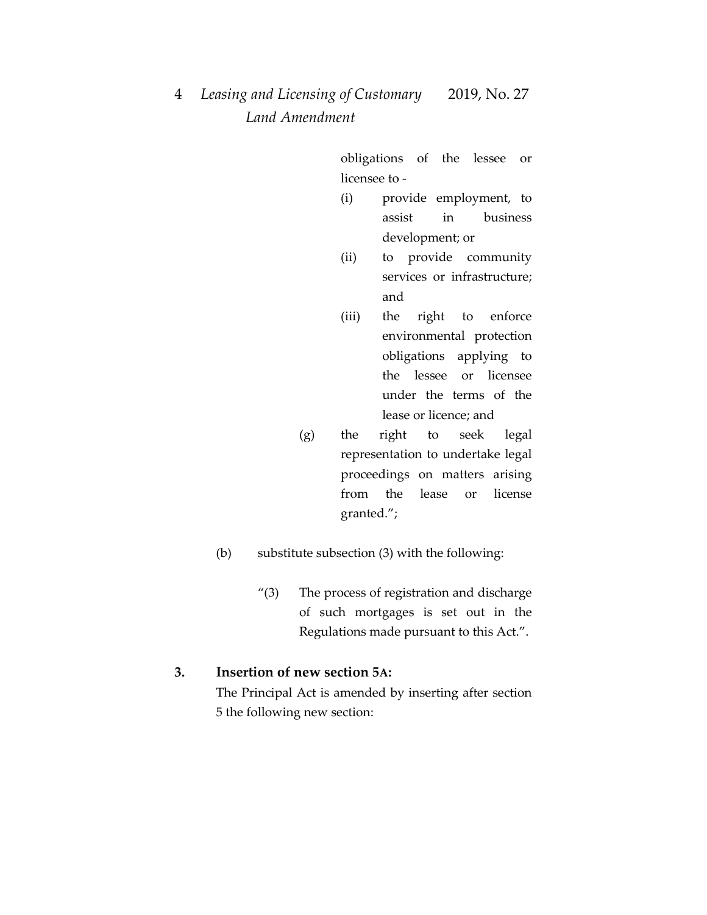obligations of the lessee or licensee to -

- (i) provide employment, to assist in business development; or
- (ii) to provide community services or infrastructure; and
- (iii) the right to enforce environmental protection obligations applying to the lessee or licensee under the terms of the lease or licence; and
- (g) the right to seek legal representation to undertake legal proceedings on matters arising from the lease or license granted.";
- (b) substitute subsection (3) with the following:
	- "(3) The process of registration and discharge of such mortgages is set out in the Regulations made pursuant to this Act.".

### **3. Insertion of new section 5A:**

The Principal Act is amended by inserting after section 5 the following new section: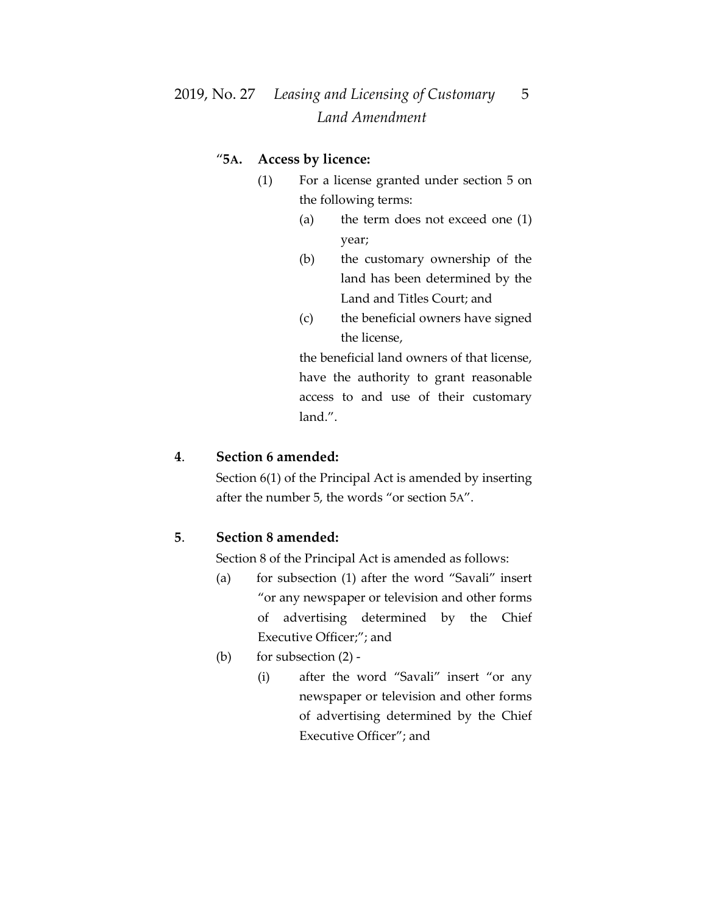# 2019, No. 27 *Leasing and Licensing of Customary* 5  *Land Amendment*

### "**5A. Access by licence:**

- (1) For a license granted under section 5 on the following terms:
	- (a) the term does not exceed one (1) year;
	- (b) the customary ownership of the land has been determined by the Land and Titles Court; and
	- (c) the beneficial owners have signed the license,

the beneficial land owners of that license, have the authority to grant reasonable access to and use of their customary land.".

## **4**. **Section 6 amended:**

Section 6(1) of the Principal Act is amended by inserting after the number 5, the words "or section 5A".

#### **5**. **Section 8 amended:**

Section 8 of the Principal Act is amended as follows:

- (a) for subsection (1) after the word "Savali" insert "or any newspaper or television and other forms of advertising determined by the Chief Executive Officer;"; and
- (b) for subsection  $(2)$  -
	- (i) after the word "Savali" insert "or any newspaper or television and other forms of advertising determined by the Chief Executive Officer"; and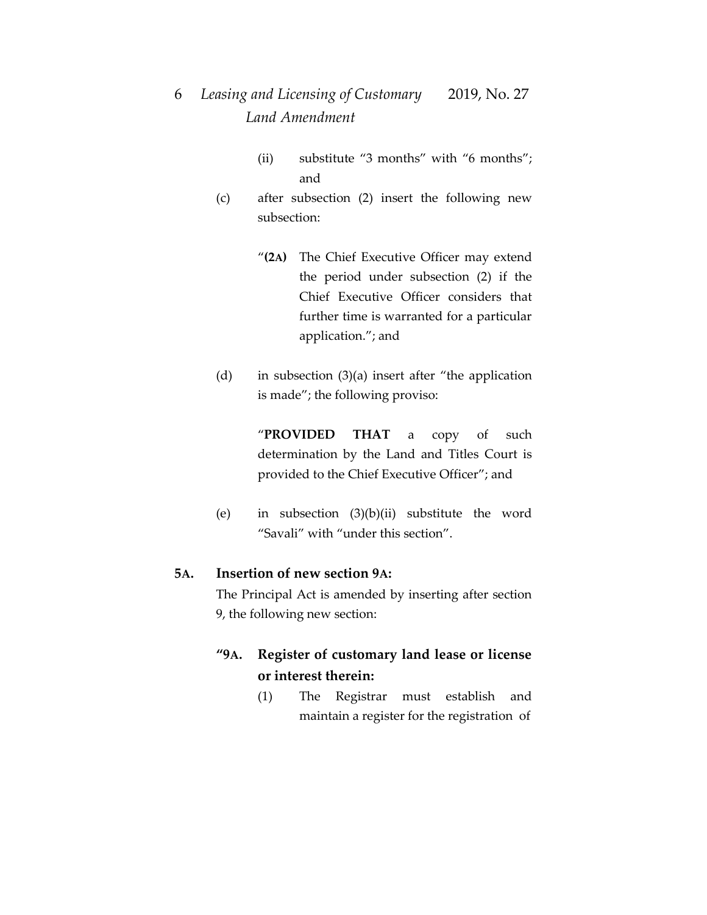- (ii) substitute "3 months" with "6 months"; and
- (c) after subsection (2) insert the following new subsection:
	- "**(2A)** The Chief Executive Officer may extend the period under subsection (2) if the Chief Executive Officer considers that further time is warranted for a particular application."; and
- (d) in subsection (3)(a) insert after "the application is made"; the following proviso:

"**PROVIDED THAT** a copy of such determination by the Land and Titles Court is provided to the Chief Executive Officer"; and

(e) in subsection (3)(b)(ii) substitute the word "Savali" with "under this section".

## **5A. Insertion of new section 9A:**

The Principal Act is amended by inserting after section 9, the following new section:

## **"9A. Register of customary land lease or license or interest therein:**

(1) The Registrar must establish and maintain a register for the registration of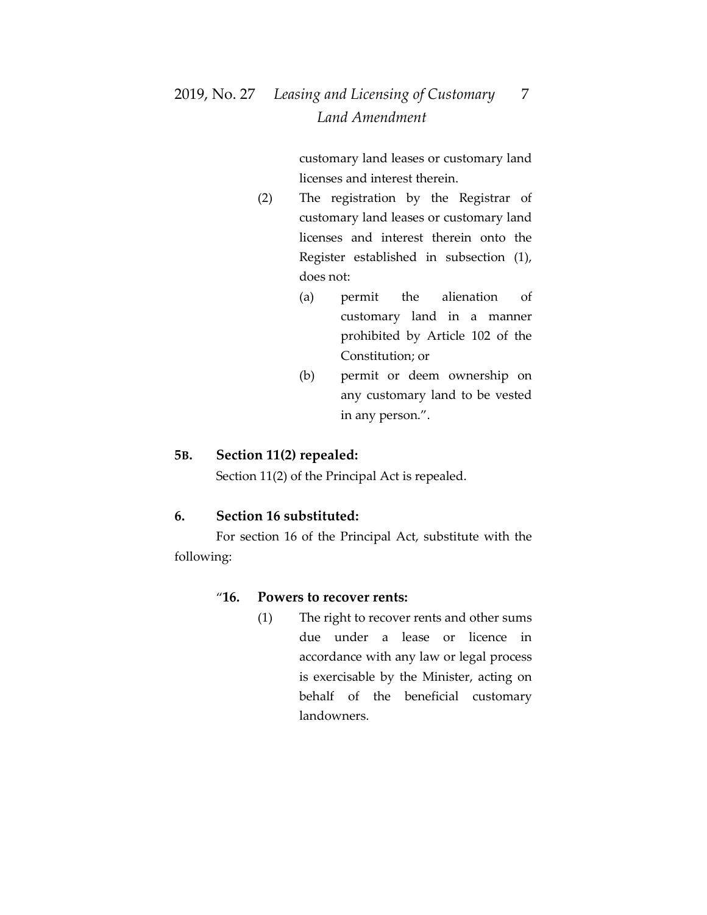# 2019, No. 27 *Leasing and Licensing of Customary* 7  *Land Amendment*

customary land leases or customary land licenses and interest therein.

- (2) The registration by the Registrar of customary land leases or customary land licenses and interest therein onto the Register established in subsection (1), does not:
	- (a) permit the alienation of customary land in a manner prohibited by Article 102 of the Constitution; or
	- (b) permit or deem ownership on any customary land to be vested in any person.".

#### **5B. Section 11(2) repealed:**

Section 11(2) of the Principal Act is repealed.

#### **6. Section 16 substituted:**

For section 16 of the Principal Act, substitute with the following:

#### "**16. Powers to recover rents:**

(1) The right to recover rents and other sums due under a lease or licence in accordance with any law or legal process is exercisable by the Minister, acting on behalf of the beneficial customary landowners.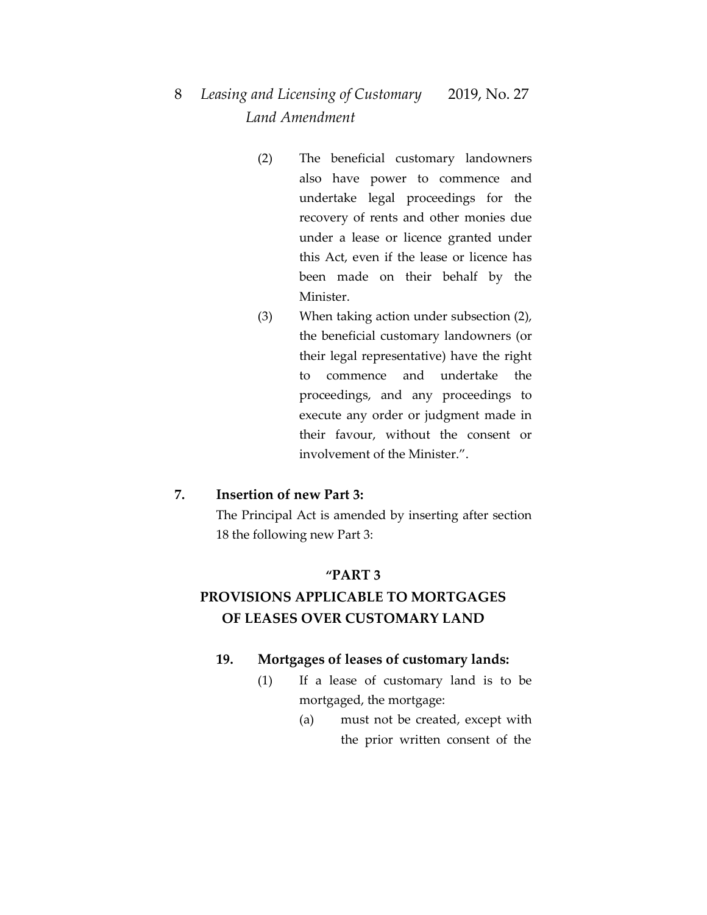- (2) The beneficial customary landowners also have power to commence and undertake legal proceedings for the recovery of rents and other monies due under a lease or licence granted under this Act, even if the lease or licence has been made on their behalf by the Minister.
- (3) When taking action under subsection (2), the beneficial customary landowners (or their legal representative) have the right to commence and undertake the proceedings, and any proceedings to execute any order or judgment made in their favour, without the consent or involvement of the Minister.".

#### **7. Insertion of new Part 3:**

The Principal Act is amended by inserting after section 18 the following new Part 3:

#### **"PART 3**

# **PROVISIONS APPLICABLE TO MORTGAGES OF LEASES OVER CUSTOMARY LAND**

### **19. Mortgages of leases of customary lands:**

- (1) If a lease of customary land is to be mortgaged, the mortgage:
	- (a) must not be created, except with the prior written consent of the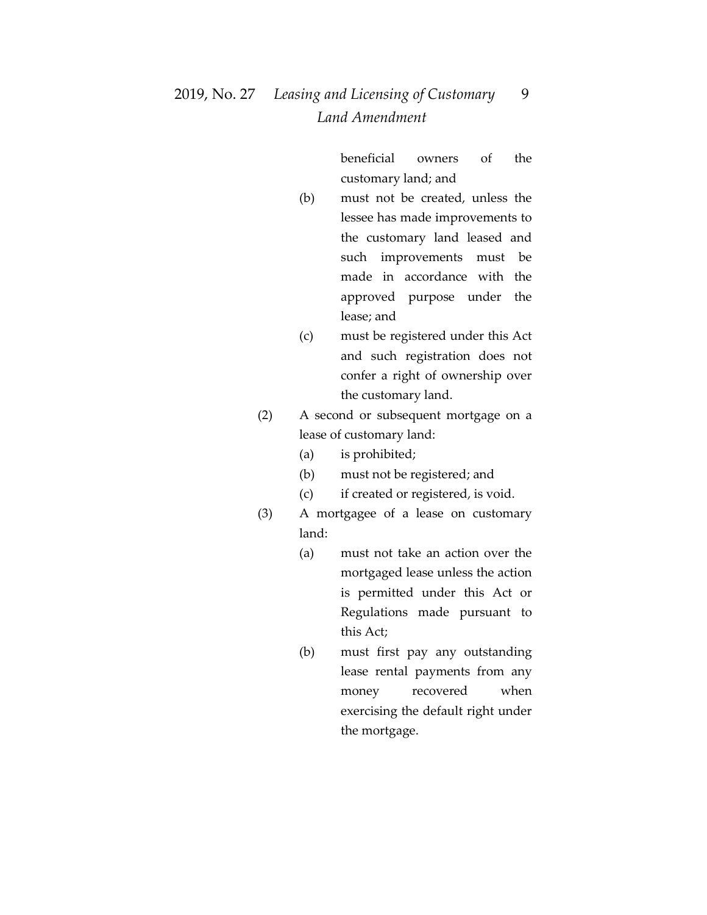# 2019, No. 27 *Leasing and Licensing of Customary* 9  *Land Amendment*

beneficial owners of the customary land; and

- (b) must not be created, unless the lessee has made improvements to the customary land leased and such improvements must be made in accordance with the approved purpose under the lease; and
- (c) must be registered under this Act and such registration does not confer a right of ownership over the customary land.
- (2) A second or subsequent mortgage on a lease of customary land:
	- (a) is prohibited;
	- (b) must not be registered; and
	- (c) if created or registered, is void.
- (3) A mortgagee of a lease on customary land:
	- (a) must not take an action over the mortgaged lease unless the action is permitted under this Act or Regulations made pursuant to this Act;
	- (b) must first pay any outstanding lease rental payments from any money recovered when exercising the default right under the mortgage.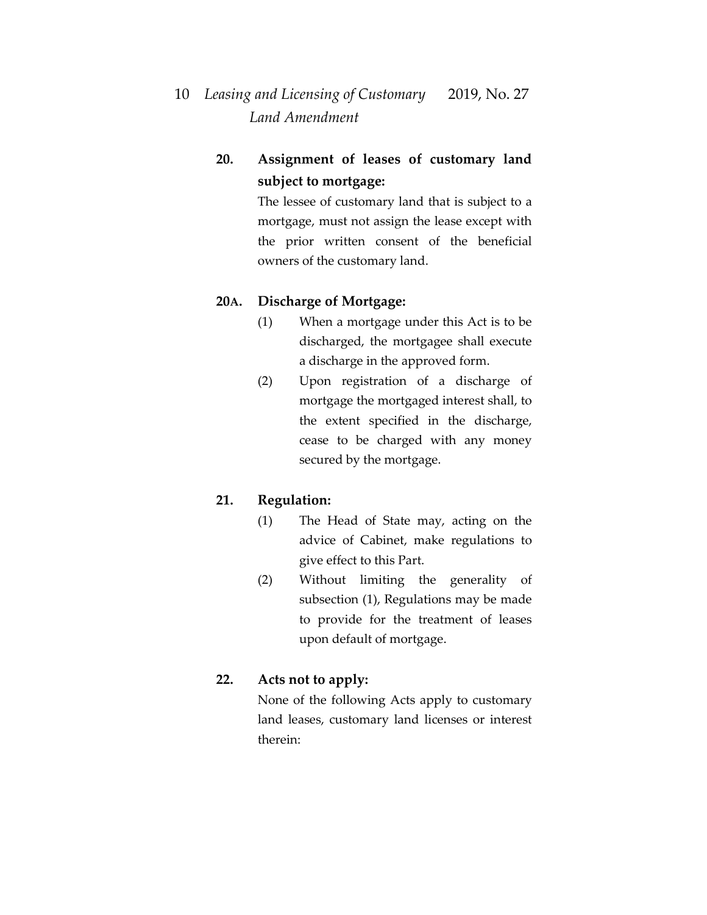## **20. Assignment of leases of customary land subject to mortgage:**

The lessee of customary land that is subject to a mortgage, must not assign the lease except with the prior written consent of the beneficial owners of the customary land.

## **20A. Discharge of Mortgage:**

- (1) When a mortgage under this Act is to be discharged, the mortgagee shall execute a discharge in the approved form.
- (2) Upon registration of a discharge of mortgage the mortgaged interest shall, to the extent specified in the discharge, cease to be charged with any money secured by the mortgage.

## **21. Regulation:**

- (1) The Head of State may, acting on the advice of Cabinet, make regulations to give effect to this Part.
- (2) Without limiting the generality of subsection (1), Regulations may be made to provide for the treatment of leases upon default of mortgage.

### **22. Acts not to apply:**

None of the following Acts apply to customary land leases, customary land licenses or interest therein: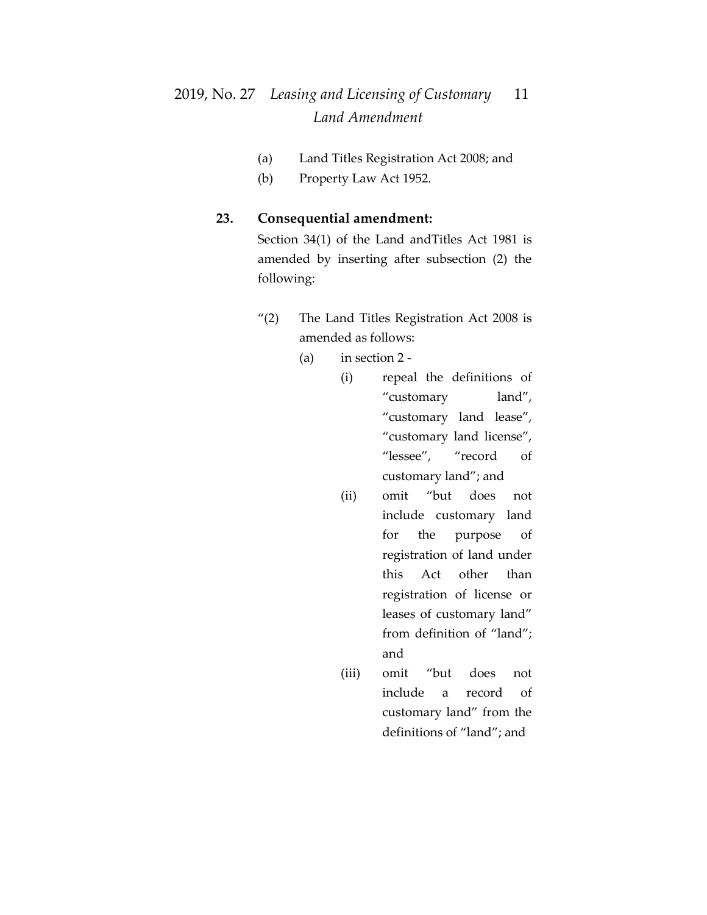# 2019, No. 27 *Leasing and Licensing of Customary* 11  *Land Amendment*

- (a) Land Titles Registration Act 2008; and
- (b) Property Law Act 1952.

### **23. Consequential amendment:**

Section 34(1) of the Land andTitles Act 1981 is amended by inserting after subsection (2) the following:

- "(2) The Land Titles Registration Act 2008 is amended as follows:
	- (a) in section 2
		- (i) repeal the definitions of "customary land", "customary land lease", "customary land license", "lessee", "record of customary land"; and
		- (ii) omit "but does not include customary land for the purpose of registration of land under this Act other than registration of license or leases of customary land" from definition of "land"; and
		- (iii) omit "but does not include a record of customary land" from the definitions of "land"; and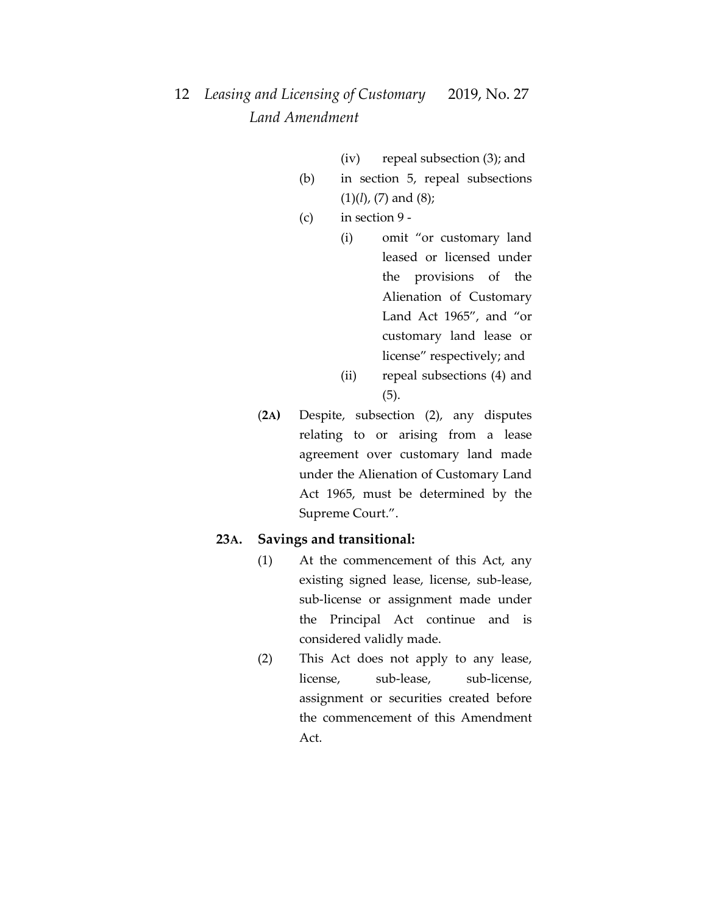- (iv) repeal subsection (3); and
- (b) in section 5, repeal subsections (1)(*l*), (7) and (8);
- (c) in section 9
	- (i) omit "or customary land leased or licensed under the provisions of the Alienation of Customary Land Act 1965", and "or customary land lease or license" respectively; and (ii) repeal subsections (4) and
		- (5).
- (**2A)** Despite, subsection (2), any disputes relating to or arising from a lease agreement over customary land made under the Alienation of Customary Land Act 1965, must be determined by the Supreme Court.".

#### **23A. Savings and transitional:**

- (1) At the commencement of this Act, any existing signed lease, license, sub-lease, sub-license or assignment made under the Principal Act continue and is considered validly made.
- (2) This Act does not apply to any lease, license, sub-lease, sub-license, assignment or securities created before the commencement of this Amendment Act.